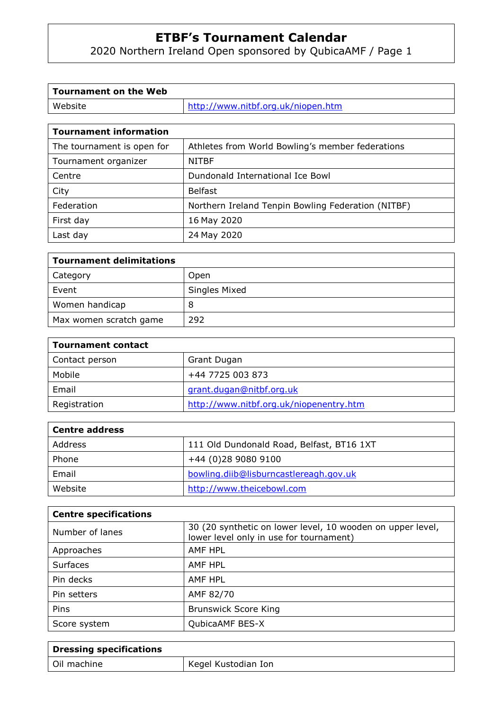2020 Northern Ireland Open sponsored by QubicaAMF / Page 1

| Tournament on the Web  |                                    |
|------------------------|------------------------------------|
| Website                | http://www.nitbf.org.uk/niopen.htm |
|                        |                                    |
| Tournament information |                                    |

| Tournament Information     |                                                    |
|----------------------------|----------------------------------------------------|
| The tournament is open for | Athletes from World Bowling's member federations   |
| Tournament organizer       | <b>NITBF</b>                                       |
| Centre                     | Dundonald International Ice Bowl                   |
| City                       | <b>Belfast</b>                                     |
| Federation                 | Northern Ireland Tenpin Bowling Federation (NITBF) |
| First day                  | 16 May 2020                                        |
| Last day                   | 24 May 2020                                        |

| <b>Tournament delimitations</b> |               |  |
|---------------------------------|---------------|--|
| Category                        | Open          |  |
| Event                           | Singles Mixed |  |
| Women handicap                  | 8             |  |
| Max women scratch game          | 292           |  |

| <b>Tournament contact</b> |                                         |  |
|---------------------------|-----------------------------------------|--|
| Contact person            | Grant Dugan                             |  |
| Mobile                    | +44 7725 003 873                        |  |
| Email                     | grant.dugan@nitbf.org.uk                |  |
| Registration              | http://www.nitbf.org.uk/niopenentry.htm |  |

| <b>Centre address</b> |                                           |
|-----------------------|-------------------------------------------|
| Address               | 111 Old Dundonald Road, Belfast, BT16 1XT |
| Phone                 | +44 (0)28 9080 9100                       |
| Email                 | bowling.diib@lisburncastlereagh.gov.uk    |
| Website               | http://www.theicebowl.com                 |

| <b>Centre specifications</b> |                                                                                                       |
|------------------------------|-------------------------------------------------------------------------------------------------------|
| Number of lanes              | 30 (20 synthetic on lower level, 10 wooden on upper level,<br>lower level only in use for tournament) |
| Approaches                   | AMF HPL                                                                                               |
| <b>Surfaces</b>              | AMF HPL                                                                                               |
| Pin decks                    | AMF HPL                                                                                               |
| Pin setters                  | AMF 82/70                                                                                             |
| Pins                         | <b>Brunswick Score King</b>                                                                           |
| Score system                 | QubicaAMF BES-X                                                                                       |

| Dressing specifications |                     |
|-------------------------|---------------------|
| Oil machine             | Kegel Kustodian Ion |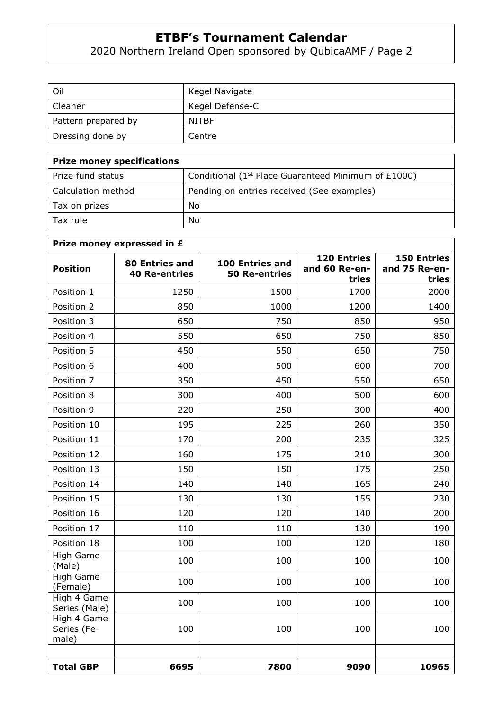2020 Northern Ireland Open sponsored by QubicaAMF / Page 2

| Oil                 | Kegel Navigate  |
|---------------------|-----------------|
| Cleaner             | Kegel Defense-C |
| Pattern prepared by | <b>NITBF</b>    |
| Dressing done by    | Centre          |

| <b>Prize money specifications</b> |                                                                 |
|-----------------------------------|-----------------------------------------------------------------|
| Prize fund status                 | Conditional (1 <sup>st</sup> Place Guaranteed Minimum of £1000) |
| Calculation method                | Pending on entries received (See examples)                      |
| Tax on prizes                     | No                                                              |
| Tax rule                          | No                                                              |

| Prize money expressed in £          |                                        |                                         |                                       |                                              |
|-------------------------------------|----------------------------------------|-----------------------------------------|---------------------------------------|----------------------------------------------|
| <b>Position</b>                     | 80 Entries and<br><b>40 Re-entries</b> | 100 Entries and<br><b>50 Re-entries</b> | 120 Entries<br>and 60 Re-en-<br>tries | <b>150 Entries</b><br>and 75 Re-en-<br>tries |
| Position 1                          | 1250                                   | 1500                                    | 1700                                  | 2000                                         |
| Position 2                          | 850                                    | 1000                                    | 1200                                  | 1400                                         |
| Position 3                          | 650                                    | 750                                     | 850                                   | 950                                          |
| Position 4                          | 550                                    | 650                                     | 750                                   | 850                                          |
| Position 5                          | 450                                    | 550                                     | 650                                   | 750                                          |
| Position 6                          | 400                                    | 500                                     | 600                                   | 700                                          |
| Position 7                          | 350                                    | 450                                     | 550                                   | 650                                          |
| Position 8                          | 300                                    | 400                                     | 500                                   | 600                                          |
| Position 9                          | 220                                    | 250                                     | 300                                   | 400                                          |
| Position 10                         | 195                                    | 225                                     | 260                                   | 350                                          |
| Position 11                         | 170                                    | 200                                     | 235                                   | 325                                          |
| Position 12                         | 160                                    | 175                                     | 210                                   | 300                                          |
| Position 13                         | 150                                    | 150                                     | 175                                   | 250                                          |
| Position 14                         | 140                                    | 140                                     | 165                                   | 240                                          |
| Position 15                         | 130                                    | 130                                     | 155                                   | 230                                          |
| Position 16                         | 120                                    | 120                                     | 140                                   | 200                                          |
| Position 17                         | 110                                    | 110                                     | 130                                   | 190                                          |
| Position 18                         | 100                                    | 100                                     | 120                                   | 180                                          |
| High Game<br>(Male)                 | 100                                    | 100                                     | 100                                   | 100                                          |
| <b>High Game</b><br>(Female)        | 100                                    | 100                                     | 100                                   | 100                                          |
| High 4 Game<br>Series (Male)        | 100                                    | 100                                     | 100                                   | 100                                          |
| High 4 Game<br>Series (Fe-<br>male) | 100                                    | 100                                     | 100                                   | 100                                          |
| <b>Total GBP</b>                    | 6695                                   | 7800                                    | 9090                                  | 10965                                        |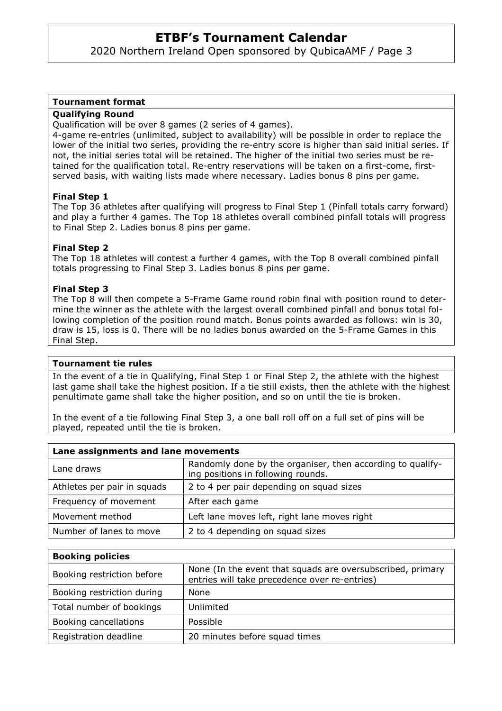2020 Northern Ireland Open sponsored by QubicaAMF / Page 3

#### **Tournament format**

#### **Qualifying Round**

Qualification will be over 8 games (2 series of 4 games).

4-game re-entries (unlimited, subject to availability) will be possible in order to replace the lower of the initial two series, providing the re-entry score is higher than said initial series. If not, the initial series total will be retained. The higher of the initial two series must be retained for the qualification total. Re-entry reservations will be taken on a first-come, firstserved basis, with waiting lists made where necessary. Ladies bonus 8 pins per game.

#### **Final Step 1**

The Top 36 athletes after qualifying will progress to Final Step 1 (Pinfall totals carry forward) and play a further 4 games. The Top 18 athletes overall combined pinfall totals will progress to Final Step 2. Ladies bonus 8 pins per game.

#### **Final Step 2**

The Top 18 athletes will contest a further 4 games, with the Top 8 overall combined pinfall totals progressing to Final Step 3. Ladies bonus 8 pins per game.

#### **Final Step 3**

The Top 8 will then compete a 5-Frame Game round robin final with position round to determine the winner as the athlete with the largest overall combined pinfall and bonus total following completion of the position round match. Bonus points awarded as follows: win is 30, draw is 15, loss is 0. There will be no ladies bonus awarded on the 5-Frame Games in this Final Step.

#### **Tournament tie rules**

In the event of a tie in Qualifying, Final Step 1 or Final Step 2, the athlete with the highest last game shall take the highest position. If a tie still exists, then the athlete with the highest penultimate game shall take the higher position, and so on until the tie is broken.

In the event of a tie following Final Step 3, a one ball roll off on a full set of pins will be played, repeated until the tie is broken.

| Lane assignments and lane movements |                                                                                                  |  |
|-------------------------------------|--------------------------------------------------------------------------------------------------|--|
| Lane draws                          | Randomly done by the organiser, then according to qualify-<br>ing positions in following rounds. |  |
| Athletes per pair in squads         | 2 to 4 per pair depending on squad sizes                                                         |  |
| Frequency of movement               | After each game                                                                                  |  |
| Movement method                     | Left lane moves left, right lane moves right                                                     |  |
| Number of lanes to move             | 2 to 4 depending on squad sizes                                                                  |  |

| <b>Booking policies</b>    |                                                                                                             |
|----------------------------|-------------------------------------------------------------------------------------------------------------|
| Booking restriction before | None (In the event that squads are oversubscribed, primary<br>entries will take precedence over re-entries) |
| Booking restriction during | None                                                                                                        |
| Total number of bookings   | Unlimited                                                                                                   |
| Booking cancellations      | Possible                                                                                                    |
| Registration deadline      | 20 minutes before squad times                                                                               |